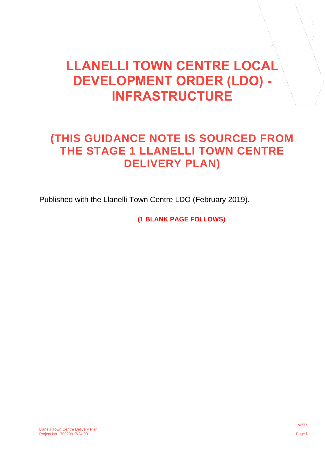## **LLANELLI TOWN CENTRE LOCAL DEVELOPMENT ORDER (LDO) - INFRASTRUCTURE**

## **(THIS GUIDANCE NOTE IS SOURCED FROM THE STAGE 1 LLANELLI TOWN CENTRE DELIVERY PLAN)**

Published with the Llanelli Town Centre LDO (February 2019).

**(1 BLANK PAGE FOLLOWS)**

Llanelli Town Centre Delivery Plan Project No. 70029917/SU001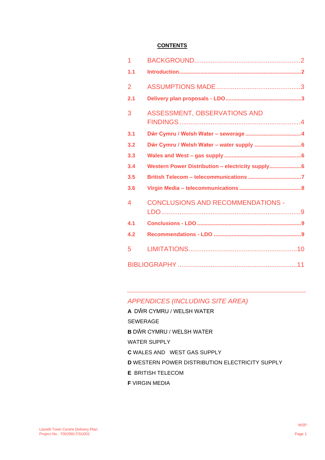#### **CONTENTS**

| 1              |                                                   |  |
|----------------|---------------------------------------------------|--|
| 1.1            |                                                   |  |
| $\overline{2}$ |                                                   |  |
| 2.1            |                                                   |  |
| 3              | ASSESSMENT, OBSERVATIONS AND                      |  |
| 3.1            |                                                   |  |
| 3.2            |                                                   |  |
| 3.3            |                                                   |  |
| 3.4            | Western Power Distribution - electricity supply 6 |  |
| 3.5            |                                                   |  |
| 3.6            |                                                   |  |
| 4              | <b>CONCLUSIONS AND RECOMMENDATIONS -</b>          |  |
| 4.1            |                                                   |  |
| 4.2            |                                                   |  |
| 5              |                                                   |  |
|                |                                                   |  |

### *APPENDICES (INCLUDING SITE AREA)*

**A** DŴR CYMRU / WELSH WATER

SEWERAGE

- **B** DŴR CYMRU / WELSH WATER
- WATER SUPPLY
- **C** WALES AND WEST GAS SUPPLY
- **D** WESTERN POWER DISTRIBUTION ELECTRICITY SUPPLY
- **E** BRITISH TELECOM
- **F** VIRGIN MEDIA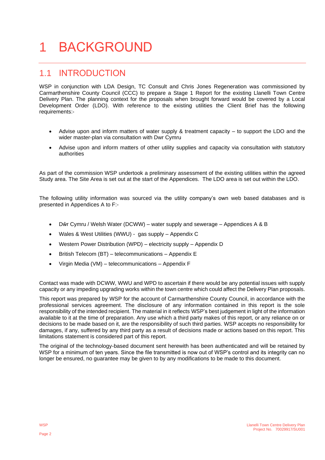## <span id="page-3-0"></span>1 BACKGROUND

### <span id="page-3-1"></span>1.1 INTRODUCTION

WSP in conjunction with LDA Design, TC Consult and Chris Jones Regeneration was commissioned by Carmarthenshire County Council (CCC) to prepare a Stage 1 Report for the existing Llanelli Town Centre Delivery Plan. The planning context for the proposals when brought forward would be covered by a Local Development Order (LDO). With reference to the existing utilities the Client Brief has the following requirements:-

- Advise upon and inform matters of water supply & treatment capacity to support the LDO and the wider master-plan via consultation with Dwr Cymru
- Advise upon and inform matters of other utility supplies and capacity via consultation with statutory authorities

As part of the commission WSP undertook a preliminary assessment of the existing utilities within the agreed Study area. The Site Area is set out at the start of the Appendices. The LDO area is set out within the LDO.

The following utility information was sourced via the utility company's own web based databases and is presented in Appendices A to F:-

- Dŵr Cymru / Welsh Water (DCWW) water supply and sewerage Appendices A & B
- Wales & West Utilities (WWU) gas supply Appendix C
- Western Power Distribution (WPD) electricity supply Appendix D
- British Telecom (BT) telecommunications Appendix E
- Virgin Media (VM) telecommunications Appendix F

Contact was made with DCWW, WWU and WPD to ascertain if there would be any potential issues with supply capacity or any impeding upgrading works within the town centre which could affect the Delivery Plan proposals.

This report was prepared by WSP for the account of Carmarthenshire County Council, in accordance with the professional services agreement. The disclosure of any information contained in this report is the sole responsibility of the intended recipient. The material in it reflects WSP's best judgement in light of the information available to it at the time of preparation. Any use which a third party makes of this report, or any reliance on or decisions to be made based on it, are the responsibility of such third parties. WSP accepts no responsibility for damages, if any, suffered by any third party as a result of decisions made or actions based on this report. This limitations statement is considered part of this report.

The original of the technology-based document sent herewith has been authenticated and will be retained by WSP for a minimum of ten years. Since the file transmitted is now out of WSP's control and its integrity can no longer be ensured, no guarantee may be given to by any modifications to be made to this document.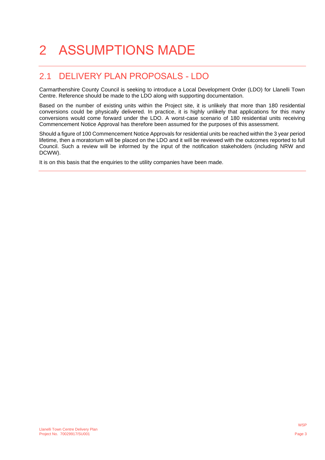# <span id="page-4-0"></span>2 ASSUMPTIONS MADE

## <span id="page-4-1"></span>2.1 DELIVERY PLAN PROPOSALS - LDO

Carmarthenshire County Council is seeking to introduce a Local Development Order (LDO) for Llanelli Town Centre. Reference should be made to the LDO along with supporting documentation.

Based on the number of existing units within the Project site, it is unlikely that more than 180 residential conversions could be physically delivered. In practice, it is highly unlikely that applications for this many conversions would come forward under the LDO. A worst-case scenario of 180 residential units receiving Commencement Notice Approval has therefore been assumed for the purposes of this assessment.

Should a figure of 100 Commencement Notice Approvals for residential units be reached within the 3 year period lifetime, then a moratorium will be placed on the LDO and it will be reviewed with the outcomes reported to full Council. Such a review will be informed by the input of the notification stakeholders (including NRW and DCWW).

It is on this basis that the enquiries to the utility companies have been made.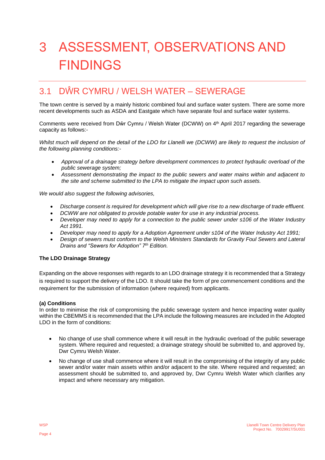# <span id="page-5-0"></span>3 ASSESSMENT, OBSERVATIONS AND FINDINGS

### <span id="page-5-1"></span>3.1 DŴR CYMRU / WELSH WATER – SEWERAGE

The town centre is served by a mainly historic combined foul and surface water system. There are some more recent developments such as ASDA and Eastgate which have separate foul and surface water systems.

Comments were received from Dŵr Cymru / Welsh Water (DCWW) on 4th April 2017 regarding the sewerage capacity as follows:-

*Whilst much will depend on the detail of the LDO for Llanelli we (DCWW) are likely to request the inclusion of the following planning conditions:-*

- *Approval of a drainage strategy before development commences to protect hydraulic overload of the public sewerage system;*
- *Assessment demonstrating the impact to the public sewers and water mains within and adjacent to the site and scheme submitted to the LPA to mitigate the impact upon such assets.*

*We would also suggest the following advisories,*

- *Discharge consent is required for development which will give rise to a new discharge of trade effluent.*
- *DCWW are not obligated to provide potable water for use in any industrial process.*
- *Developer may need to apply for a connection to the public sewer under s106 of the Water Industry Act 1991.*
- *Developer may need to apply for a Adoption Agreement under s104 of the Water Industry Act 1991;*
- *Design of sewers must conform to the Welsh Ministers Standards for Gravity Foul Sewers and Lateral Drains and "Sewers for Adoption" 7th Edition.*

#### **The LDO Drainage Strategy**

Expanding on the above responses with regards to an LDO drainage strategy it is recommended that a Strategy is required to support the delivery of the LDO. It should take the form of pre commencement conditions and the requirement for the submission of information (where required) from applicants.

#### **(a) Conditions**

In order to minimise the risk of compromising the public sewerage system and hence impacting water quality within the CBEMMS it is recommended that the LPA include the following measures are included in the Adopted LDO in the form of conditions:

- No change of use shall commence where it will result in the hydraulic overload of the public sewerage system. Where required and requested; a drainage strategy should be submitted to, and approved by, Dwr Cymru Welsh Water.
- No change of use shall commence where it will result in the compromising of the integrity of any public sewer and/or water main assets within and/or adjacent to the site. Where required and requested; an assessment should be submitted to, and approved by, Dwr Cymru Welsh Water which clarifies any impact and where necessary any mitigation.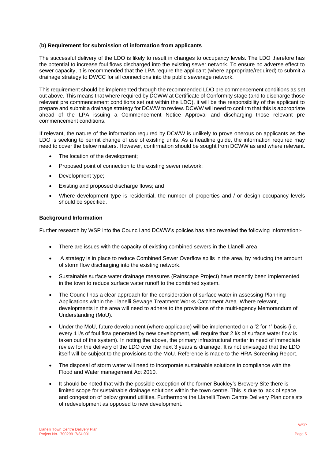#### (**b) Requirement for submission of information from applicants**

The successful delivery of the LDO is likely to result in changes to occupancy levels. The LDO therefore has the potential to increase foul flows discharged into the existing sewer network. To ensure no adverse effect to sewer capacity, it is recommended that the LPA require the applicant (where appropriate/required) to submit a drainage strategy to DWCC for all connections into the public sewerage network.

This requirement should be implemented through the recommended LDO pre commencement conditions as set out above. This means that where required by DCWW at Certificate of Conformity stage (and to discharge those relevant pre commencement conditions set out within the LDO), it will be the responsibility of the applicant to prepare and submit a drainage strategy for DCWW to review. DCWW will need to confirm that this is appropriate ahead of the LPA issuing a Commencement Notice Approval and discharging those relevant pre commencement conditions.

If relevant, the nature of the information required by DCWW is unlikely to prove onerous on applicants as the LDO is seeking to permit change of use of existing units. As a headline guide, the information required may need to cover the below matters. However, confirmation should be sought from DCWW as and where relevant.

- The location of the development;
- Proposed point of connection to the existing sewer network;
- Development type;
- Existing and proposed discharge flows; and
- Where development type is residential, the number of properties and / or design occupancy levels should be specified.

#### **Background Information**

Further research by WSP into the Council and DCWW's policies has also revealed the following information:-

- There are issues with the capacity of existing combined sewers in the Llanelli area.
- A strategy is in place to reduce Combined Sewer Overflow spills in the area, by reducing the amount of storm flow discharging into the existing network.
- Sustainable surface water drainage measures (Rainscape Project) have recently been implemented in the town to reduce surface water runoff to the combined system.
- The Council has a clear approach for the consideration of surface water in assessing Planning Applications within the Llanelli Sewage Treatment Works Catchment Area. Where relevant, developments in the area will need to adhere to the provisions of the multi-agency Memorandum of Understanding (MoU).
- Under the MoU, future development (where applicable) will be implemented on a '2 for 1' basis (i.e. every 1 l/s of foul flow generated by new development, will require that 2 l/s of surface water flow is taken out of the system). In noting the above, the primary infrastructural matter in need of immediate review for the delivery of the LDO over the next 3 years is drainage. It is not envisaged that the LDO itself will be subject to the provisions to the MoU. Reference is made to the HRA Screening Report.
- The disposal of storm water will need to incorporate sustainable solutions in compliance with the Flood and Water management Act 2010.
- It should be noted that with the possible exception of the former Buckley's Brewery Site there is limited scope for sustainable drainage solutions within the town centre. This is due to lack of space and congestion of below ground utilities. Furthermore the Llanelli Town Centre Delivery Plan consists of redevelopment as opposed to new development.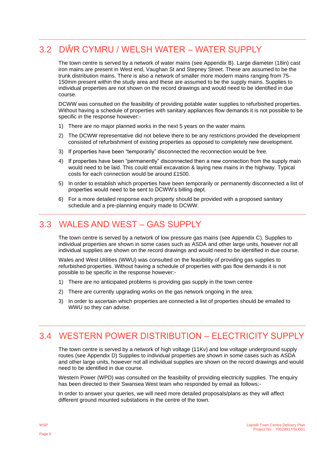## <span id="page-7-0"></span>3.2 DŴR CYMRU / WELSH WATER – WATER SUPPLY

The town centre is served by a network of water mains (see Appendix B). Large diameter (18in) cast iron mains are present in West end, Vaughan St and Stepney Street. These are assumed to be the trunk distribution mains. There is also a network of smaller more modern mains ranging from 75- 150mm present within the study area and these are assumed to be the supply mains. Supplies to individual properties are not shown on the record drawings and would need to be identified in due course.

DCWW was consulted on the feasibility of providing potable water supplies to refurbished properties. Without having a schedule of properties with sanitary appliances flow demands it is not possible to be specific in the response however:-

- 1) There are no major planned works in the next 5 years on the water mains
- 2) The DCWW representative did not believe there to be any restrictions provided the development consisted of refurbishment of existing properties as opposed to completely new development.
- 3) If properties have been "temporarily" disconnected the reconnection would be free.
- 4) If properties have been "permanently" disconnected then a new connection from the supply main would need to be laid. This could entail excavation & laying new mains in the highway. Typical costs for each connection would be around £1500.
- 5) In order to establish which properties have been temporarily or permanently disconnected a list of properties would need to be sent to DCWW's billing dept.
- 6) For a more detailed response each property should be provided with a proposed sanitary schedule and a pre-planning enquiry made to DCWW.

### <span id="page-7-1"></span>3.3 WALES AND WEST – GAS SUPPLY

The town centre is served by a network of low pressure gas mains (see Appendix C). Supplies to individual properties are shown in some cases such as ASDA and other large units, however not all individual supplies are shown on the record drawings and would need to be identified in due course.

Wales and West Utilities (WWU) was consulted on the feasibility of providing gas supplies to refurbished properties. Without having a schedule of properties with gas flow demands it is not possible to be specific in the response however:-

- 1) There are no anticipated problems is providing gas supply in the town centre
- 2) There are currently upgrading works on the gas network ongoing in the area.
- 3) In order to ascertain which properties are connected a list of properties should be emailed to WWU so they can advise.

### <span id="page-7-2"></span>3.4 WESTERN POWER DISTRIBUTION – ELECTRICITY SUPPLY

The town centre is served by a network of high voltage (11Kv) and low voltage underground supply routes (see Appendix D) Supplies to individual properties are shown in some cases such as ASDA and other large units, however not all individual supplies are shown on the record drawings and would need to be identified in due course.

Western Power (WPD) was consulted on the feasibility of providing electricity supplies. The enquiry has been directed to their Swansea West team who responded by email as follows:-

In order to answer your queries, we will need more detailed proposals/plans as they will affect different ground mounted substations in the centre of the town.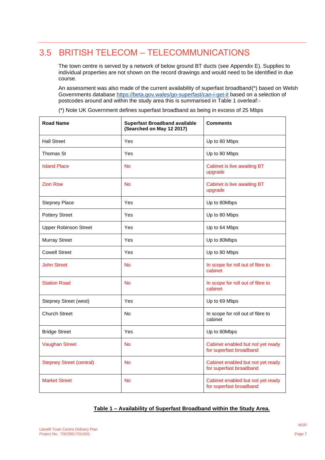### <span id="page-8-0"></span>3.5 BRITISH TELECOM – TELECOMMUNICATIONS

The town centre is served by a network of below ground BT ducts (see Appendix E). Supplies to individual properties are not shown on the record drawings and would need to be identified in due course.

An assessment was also made of the current availability of superfast broadband(\*) based on Welsh Governments database<https://beta.gov.wales/go-superfast/can-i-get-it> based on a selection of postcodes around and within the study area this is summarised in Table 1 overleaf:-

(\*) Note UK Government defines superfast broadband as being in excess of 25 Mbps

| <b>Road Name</b>                | <b>Superfast Broadband available</b><br>(Searched on May 12 2017) | <b>Comments</b>                                              |
|---------------------------------|-------------------------------------------------------------------|--------------------------------------------------------------|
| <b>Hall Street</b>              | Yes                                                               | Up to 80 Mbps                                                |
| Thomas St                       | Yes                                                               | Up to 80 Mbps                                                |
| <b>Island Place</b>             | <b>No</b>                                                         | Cabinet is live awaiting BT<br>upgrade                       |
| <b>Zion Row</b>                 | <b>No</b>                                                         | Cabinet is live awaiting BT<br>upgrade                       |
| <b>Stepney Place</b>            | Yes                                                               | Up to 80Mbps                                                 |
| <b>Pottery Street</b>           | Yes                                                               | Up to 80 Mbps                                                |
| <b>Upper Robinson Street</b>    | Yes                                                               | Up to 64 Mbps                                                |
| <b>Murray Street</b>            | Yes                                                               | Up to 80Mbps                                                 |
| <b>Cowell Street</b>            | Yes                                                               | Up to 80 Mbps                                                |
| <b>John Street</b>              | <b>No</b>                                                         | In scope for roll out of fibre to<br>cabinet                 |
| <b>Station Road</b>             | <b>No</b>                                                         | In scope for roll out of fibre to<br>cabinet                 |
| Stepney Street (west)           | Yes                                                               | Up to 69 Mbps                                                |
| <b>Church Street</b>            | <b>No</b>                                                         | In scope for roll out of fibre to<br>cabinet                 |
| <b>Bridge Street</b>            | Yes                                                               | Up to 80Mbps                                                 |
| <b>Vaughan Street</b>           | <b>No</b>                                                         | Cabinet enabled but not yet ready<br>for superfast broadband |
| <b>Stepney Street (central)</b> | <b>No</b>                                                         | Cabinet enabled but not yet ready<br>for superfast broadband |
| <b>Market Street</b>            | <b>No</b>                                                         | Cabinet enabled but not yet ready<br>for superfast broadband |

#### **Table 1 – Availability of Superfast Broadband within the Study Area.**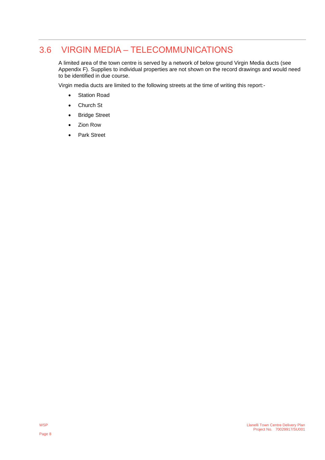### 3.6 VIRGIN MEDIA – TELECOMMUNICATIONS

<span id="page-9-0"></span>A limited area of the town centre is served by a network of below ground Virgin Media ducts (see Appendix F). Supplies to individual properties are not shown on the record drawings and would need to be identified in due course.

Virgin media ducts are limited to the following streets at the time of writing this report:-

- Station Road
- Church St
- Bridge Street
- Zion Row
- Park Street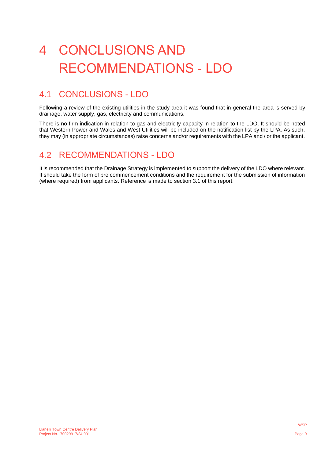# <span id="page-10-0"></span>4 CONCLUSIONS AND RECOMMENDATIONS - LDO

### <span id="page-10-1"></span>4.1 CONCLUSIONS - LDO

Following a review of the existing utilities in the study area it was found that in general the area is served by drainage, water supply, gas, electricity and communications.

There is no firm indication in relation to gas and electricity capacity in relation to the LDO. It should be noted that Western Power and Wales and West Utilities will be included on the notification list by the LPA. As such, they may (in appropriate circumstances) raise concerns and/or requirements with the LPA and / or the applicant.

### <span id="page-10-2"></span>4.2 RECOMMENDATIONS - LDO

It is recommended that the Drainage Strategy is implemented to support the delivery of the LDO where relevant. It should take the form of pre commencement conditions and the requirement for the submission of information (where required) from applicants. Reference is made to section 3.1 of this report.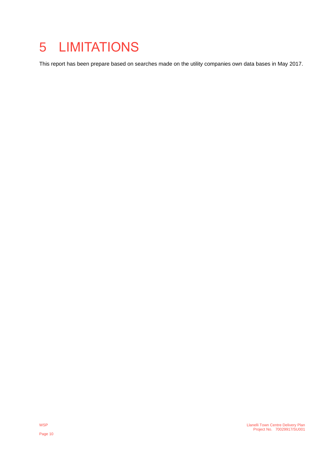## <span id="page-11-0"></span>5 LIMITATIONS

This report has been prepare based on searches made on the utility companies own data bases in May 2017.